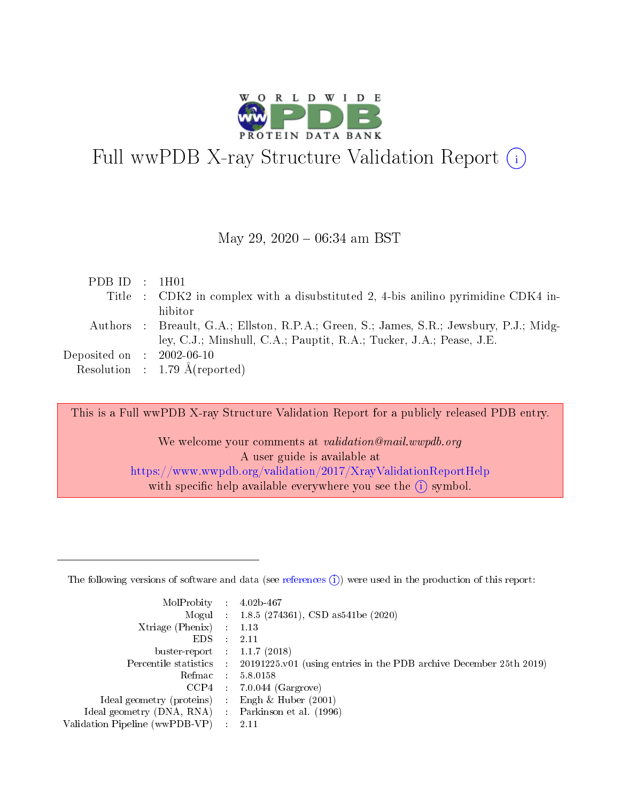

# Full wwPDB X-ray Structure Validation Report  $(i)$

#### May 29,  $2020 - 06:34$  am BST

| PDBID : 1H01                |                                                                                         |
|-----------------------------|-----------------------------------------------------------------------------------------|
|                             | Title : CDK2 in complex with a disubstituted 2, 4-bis anilino pyrimidine CDK4 in-       |
|                             | hibitor                                                                                 |
|                             | Authors : Breault, G.A.; Ellston, R.P.A.; Green, S.; James, S.R.; Jewsbury, P.J.; Midg- |
|                             | ley, C.J.; Minshull, C.A.; Pauptit, R.A.; Tucker, J.A.; Pease, J.E.                     |
| Deposited on : $2002-06-10$ |                                                                                         |
|                             | Resolution : 1.79 $\AA$ (reported)                                                      |

This is a Full wwPDB X-ray Structure Validation Report for a publicly released PDB entry.

We welcome your comments at validation@mail.wwpdb.org A user guide is available at <https://www.wwpdb.org/validation/2017/XrayValidationReportHelp> with specific help available everywhere you see the  $(i)$  symbol.

The following versions of software and data (see [references](https://www.wwpdb.org/validation/2017/XrayValidationReportHelp#references)  $(1)$ ) were used in the production of this report:

| MolProbity                     | $\mathcal{L}_{\rm{max}}$ | $4.02b - 467$                                                                |
|--------------------------------|--------------------------|------------------------------------------------------------------------------|
|                                |                          | Mogul : $1.8.5$ (274361), CSD as 541be (2020)                                |
| $X$ triage (Phenix) :          |                          | 1.13                                                                         |
| EDS.                           |                          | 2.11                                                                         |
| buster-report : $1.1.7$ (2018) |                          |                                                                              |
| Percentile statistics :        |                          | $20191225 \text{ v}01$ (using entries in the PDB archive December 25th 2019) |
| Refmac                         |                          | 5.8.0158                                                                     |
| $CCP4$ :                       |                          | $7.0.044$ (Gargrove)                                                         |
| Ideal geometry (proteins) :    |                          | Engh $\&$ Huber (2001)                                                       |
| Ideal geometry (DNA, RNA) :    |                          | Parkinson et al. (1996)                                                      |
| Validation Pipeline (wwPDB-VP) | $\mathcal{L}$            | -2.11                                                                        |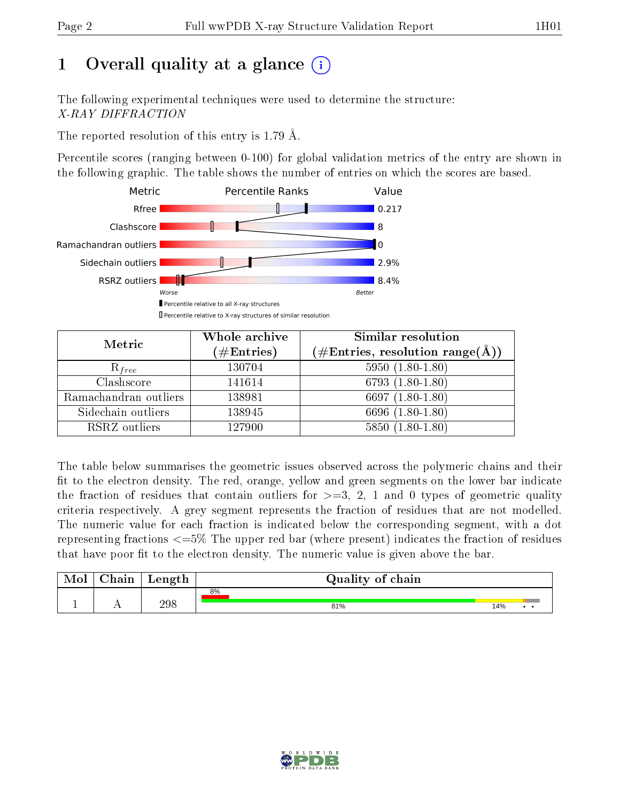# 1 [O](https://www.wwpdb.org/validation/2017/XrayValidationReportHelp#overall_quality)verall quality at a glance  $(i)$

The following experimental techniques were used to determine the structure: X-RAY DIFFRACTION

The reported resolution of this entry is 1.79 Å.

Percentile scores (ranging between 0-100) for global validation metrics of the entry are shown in the following graphic. The table shows the number of entries on which the scores are based.



| Metric                | Whole archive<br>$(\#\mathrm{Entries})$ | Similar resolution<br>$(\#\text{Entries}, \text{resolution range}(\text{\AA}))$ |
|-----------------------|-----------------------------------------|---------------------------------------------------------------------------------|
| $R_{free}$            | 130704                                  | $5950(1.80-1.80)$                                                               |
| Clashscore            | 141614                                  | $6793(1.80-1.80)$                                                               |
| Ramachandran outliers | 138981                                  | 6697 $(1.80-1.80)$                                                              |
| Sidechain outliers    | 138945                                  | 6696 (1.80-1.80)                                                                |
| RSRZ outliers         | 127900                                  | $5850(1.80-1.80)$                                                               |

The table below summarises the geometric issues observed across the polymeric chains and their fit to the electron density. The red, orange, yellow and green segments on the lower bar indicate the fraction of residues that contain outliers for  $>=3, 2, 1$  and 0 types of geometric quality criteria respectively. A grey segment represents the fraction of residues that are not modelled. The numeric value for each fraction is indicated below the corresponding segment, with a dot representing fractions  $\epsilon=5\%$  The upper red bar (where present) indicates the fraction of residues that have poor fit to the electron density. The numeric value is given above the bar.

| Mol | $\cap$ hain | Length | Quality of chain |     |
|-----|-------------|--------|------------------|-----|
|     |             |        | 8%               |     |
| л.  | . .         | 298    | 81%              | 14% |

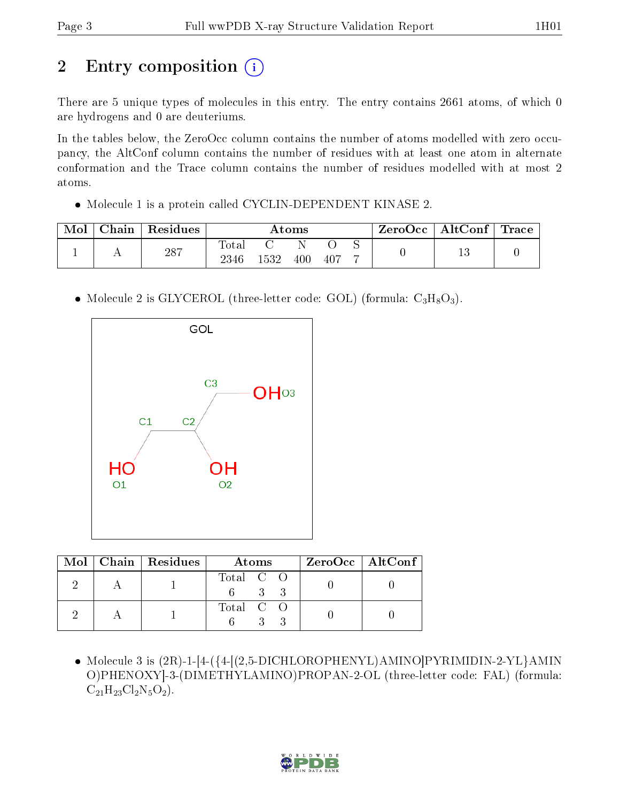# 2 Entry composition (i)

There are 5 unique types of molecules in this entry. The entry contains 2661 atoms, of which 0 are hydrogens and 0 are deuteriums.

In the tables below, the ZeroOcc column contains the number of atoms modelled with zero occupancy, the AltConf column contains the number of residues with at least one atom in alternate conformation and the Trace column contains the number of residues modelled with at most 2 atoms.

• Molecule 1 is a protein called CYCLIN-DEPENDENT KINASE 2.

| Mol | Chain | Residues |                     |      | Atoms |     | $\text{ZeroOcc} \mid \text{AltConf} \mid \text{Trace}$ |  |
|-----|-------|----------|---------------------|------|-------|-----|--------------------------------------------------------|--|
|     |       | 287      | $\rm Total$<br>2346 | 1532 | 400   | 407 |                                                        |  |

• Molecule 2 is GLYCEROL (three-letter code: GOL) (formula:  $C_3H_8O_3$ ).



|  | $\text{Mol}$   Chain   Residues | Atoms               | $ZeroOcc$   AltConf |
|--|---------------------------------|---------------------|---------------------|
|  |                                 | Total C O<br>$-3-3$ |                     |
|  |                                 | Total C O           |                     |

• Molecule 3 is  $(2R)$ -1-[4-({4-[ $(2,5$ -DICHLOROPHENYL)AMINO]PYRIMIDIN-2-YL}AMIN O)PHENOXY]-3-(DIMETHYLAMINO)PROPAN-2-OL (three-letter code: FAL) (formula:  $C_{21}H_{23}Cl_2N_5O_2$ .

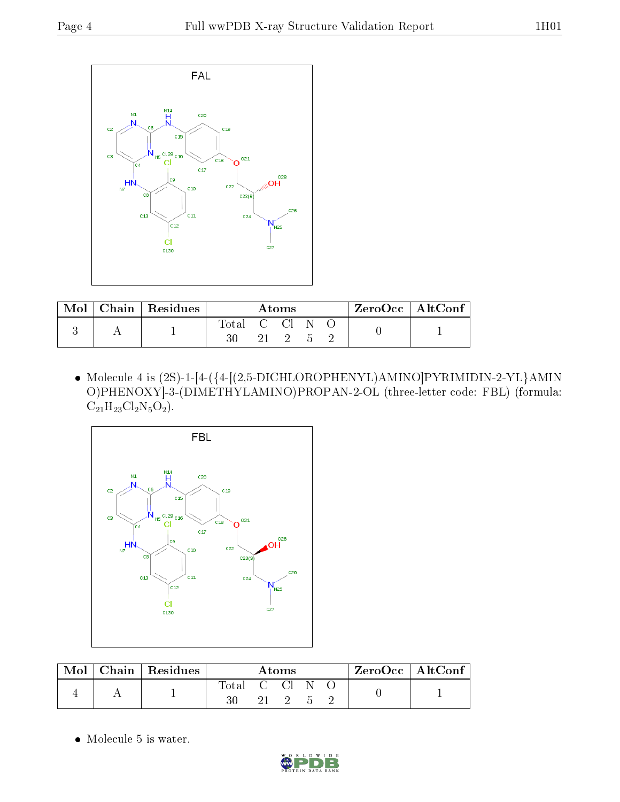

| Mol | Chain   Residues | Atoms      |  |      |   |  | $\rm ZeroOcc \mid AltConf \mid$ |
|-----|------------------|------------|--|------|---|--|---------------------------------|
|     |                  | Total C Cl |  | 21 2 | h |  |                                 |

 Molecule 4 is (2S)-1-[4-({4-[(2,5-DICHLOROPHENYL)AMINO]PYRIMIDIN-2-YL}AMIN O)PHENOXY]-3-(DIMETHYLAMINO)PROPAN-2-OL (three-letter code: FBL) (formula:  $C_{21}H_{23}Cl_2N_5O_2$ .



| Mol | Chain   Residues | Atoms      |  |  |  |  | $ZeroOcc \mid AltConf$ |  |
|-----|------------------|------------|--|--|--|--|------------------------|--|
|     |                  | Total C Cl |  |  |  |  |                        |  |

Molecule 5 is water.

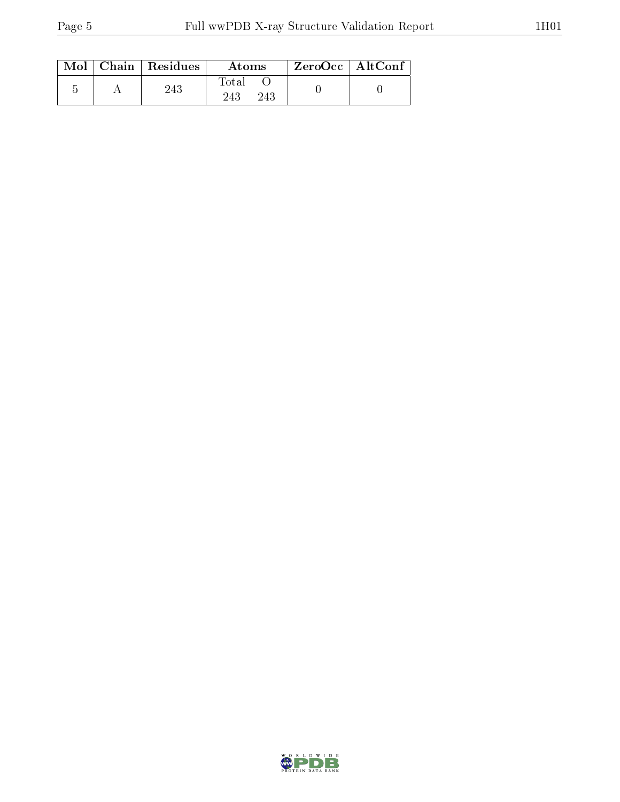|  | $\text{Mol}$   Chain   Residues | Atoms               | $\rm ZeroOcc$   AltConf |  |
|--|---------------------------------|---------------------|-------------------------|--|
|  | 243                             | Total<br>243<br>243 |                         |  |

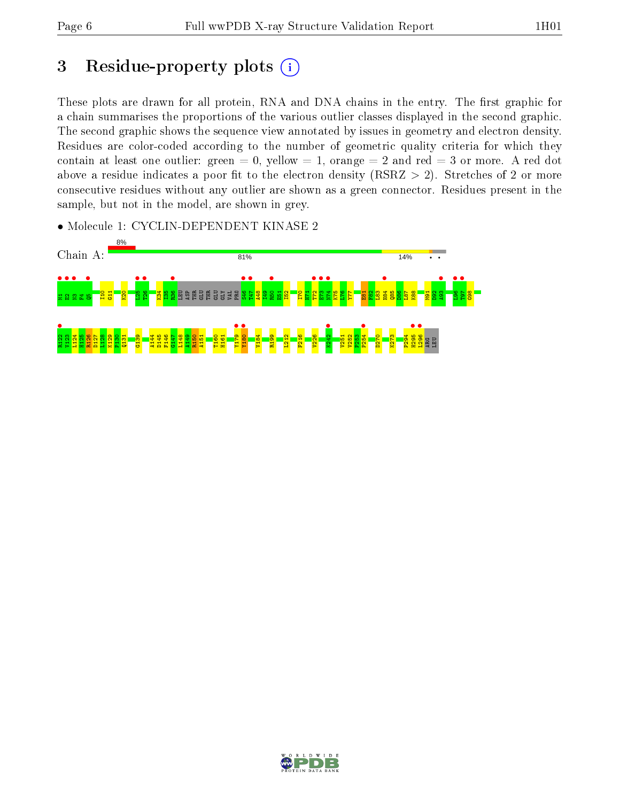## 3 Residue-property plots  $(i)$

These plots are drawn for all protein, RNA and DNA chains in the entry. The first graphic for a chain summarises the proportions of the various outlier classes displayed in the second graphic. The second graphic shows the sequence view annotated by issues in geometry and electron density. Residues are color-coded according to the number of geometric quality criteria for which they contain at least one outlier: green  $= 0$ , yellow  $= 1$ , orange  $= 2$  and red  $= 3$  or more. A red dot above a residue indicates a poor fit to the electron density (RSRZ  $> 2$ ). Stretches of 2 or more consecutive residues without any outlier are shown as a green connector. Residues present in the sample, but not in the model, are shown in grey.

• Molecule 1: CYCLIN-DEPENDENT KINASE 2



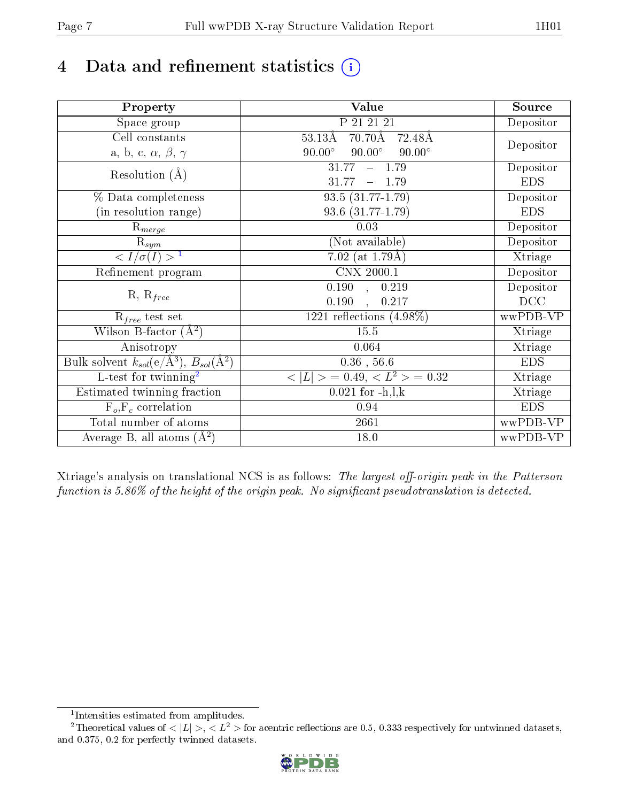# 4 Data and refinement statistics  $(i)$

| Property                                                             | Value                                            | Source     |
|----------------------------------------------------------------------|--------------------------------------------------|------------|
| Space group                                                          | P 21 21 21                                       | Depositor  |
| Cell constants                                                       | $70.70\text{\AA}$<br>$53.13\text{\AA}$<br>72.48Å |            |
| a, b, c, $\alpha$ , $\beta$ , $\gamma$                               | $90.00^\circ$<br>$90.00^\circ$<br>$90.00^\circ$  | Depositor  |
| Resolution $(A)$                                                     | 31.77<br>$-1.79$                                 | Depositor  |
|                                                                      | 31.77<br>1.79                                    | <b>EDS</b> |
| % Data completeness                                                  | $93.5(31.77-1.79)$                               | Depositor  |
| (in resolution range)                                                | 93.6 (31.77-1.79)                                | <b>EDS</b> |
| $\mathrm{R}_{merge}$                                                 | 0.03                                             | Depositor  |
| $\mathrm{R}_{sym}$                                                   | (Not available)                                  | Depositor  |
| $\langle I/\sigma(I) \rangle^{-1}$                                   | 7.02 (at $1.79\text{\AA}$ )                      | Xtriage    |
| Refinement program                                                   | $\overline{\text{CNX } 2000.1}$                  | Depositor  |
|                                                                      | $\overline{0.190}$ ,<br>0.219                    | Depositor  |
| $R, R_{free}$                                                        | 0.190<br>0.217<br>$\mathbf{A}$                   | DCC        |
| $R_{free}$ test set                                                  | $1221$ reflections $(4.98\%)$                    | wwPDB-VP   |
| Wilson B-factor $(A^2)$                                              | 15.5                                             | Xtriage    |
| Anisotropy                                                           | 0.064                                            | Xtriage    |
| Bulk solvent $k_{sol}(e/\mathring{A}^3)$ , $B_{sol}(\mathring{A}^2)$ | $0.36$ , $56.6$                                  | <b>EDS</b> |
| $\overline{L-test for}$ twinning <sup>2</sup>                        | $< L >$ = 0.49, $< L2$ = 0.32                    | Xtriage    |
| Estimated twinning fraction                                          | $0.021$ for $-h, l, k$                           | Xtriage    |
| $F_o, F_c$ correlation                                               | 0.94                                             | <b>EDS</b> |
| Total number of atoms                                                | 2661                                             | wwPDB-VP   |
| Average B, all atoms $(A^2)$                                         | 18.0                                             | wwPDB-VP   |

Xtriage's analysis on translational NCS is as follows: The largest off-origin peak in the Patterson function is  $5.86\%$  of the height of the origin peak. No significant pseudotranslation is detected.

<sup>&</sup>lt;sup>2</sup>Theoretical values of  $\langle |L| \rangle$ ,  $\langle L^2 \rangle$  for acentric reflections are 0.5, 0.333 respectively for untwinned datasets, and 0.375, 0.2 for perfectly twinned datasets.



<span id="page-6-1"></span><span id="page-6-0"></span><sup>1</sup> Intensities estimated from amplitudes.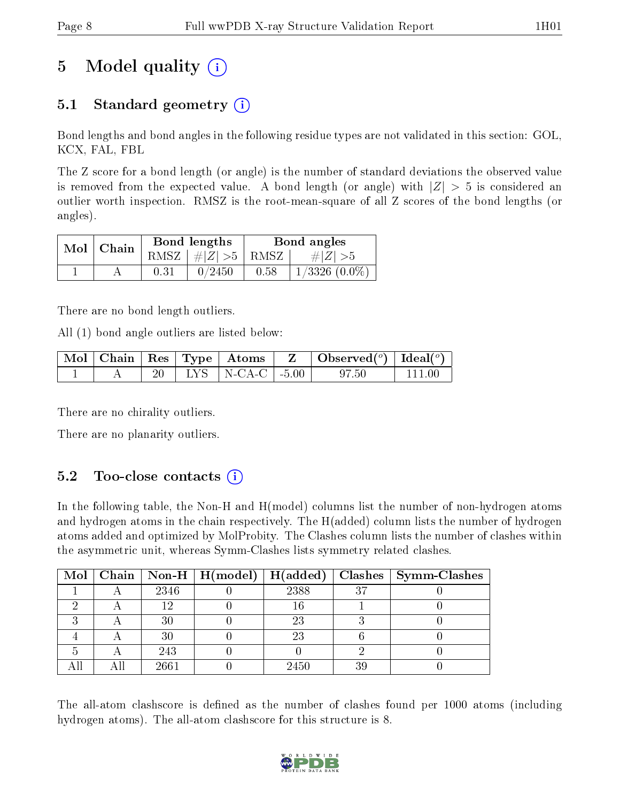# 5 Model quality  $(i)$

### 5.1 Standard geometry (i)

Bond lengths and bond angles in the following residue types are not validated in this section: GOL, KCX, FAL, FBL

The Z score for a bond length (or angle) is the number of standard deviations the observed value is removed from the expected value. A bond length (or angle) with  $|Z| > 5$  is considered an outlier worth inspection. RMSZ is the root-mean-square of all Z scores of the bond lengths (or angles).

| $Mol$   Chain |      | Bond lengths         | Bond angles |                    |  |
|---------------|------|----------------------|-------------|--------------------|--|
|               |      | RMSZ $ #Z  > 5$ RMSZ |             | $\#Z >5$           |  |
|               | 0.31 | 0/2450               | 0.58        | $1/3326$ $(0.0\%)$ |  |

There are no bond length outliers.

All (1) bond angle outliers are listed below:

|  |  |                                                        | $\mid$ Mol $\mid$ Chain $\mid$ Res $\mid$ Type $\mid$ Atoms $\mid$ Z $\mid$ Observed( $^o$ ) $\mid$ Ideal( $^o$ ) |  |
|--|--|--------------------------------------------------------|-------------------------------------------------------------------------------------------------------------------|--|
|  |  | $\parallel$ LYS $\parallel$ N-CA-C $\parallel$ -5.00 . |                                                                                                                   |  |

There are no chirality outliers.

There are no planarity outliers.

### $5.2$  Too-close contacts  $(i)$

In the following table, the Non-H and H(model) columns list the number of non-hydrogen atoms and hydrogen atoms in the chain respectively. The H(added) column lists the number of hydrogen atoms added and optimized by MolProbity. The Clashes column lists the number of clashes within the asymmetric unit, whereas Symm-Clashes lists symmetry related clashes.

|  |      | Mol   Chain   Non-H   H(model)   H(added) |      |    | $\mid$ Clashes $\mid$ Symm-Clashes |
|--|------|-------------------------------------------|------|----|------------------------------------|
|  | 2346 |                                           | 2388 | 37 |                                    |
|  | 19   |                                           | 16   |    |                                    |
|  | 30   |                                           | 23   |    |                                    |
|  | 30   |                                           | 23   |    |                                    |
|  | 243  |                                           |      |    |                                    |
|  | 2661 |                                           | 2450 | 39 |                                    |

The all-atom clashscore is defined as the number of clashes found per 1000 atoms (including hydrogen atoms). The all-atom clashscore for this structure is 8.

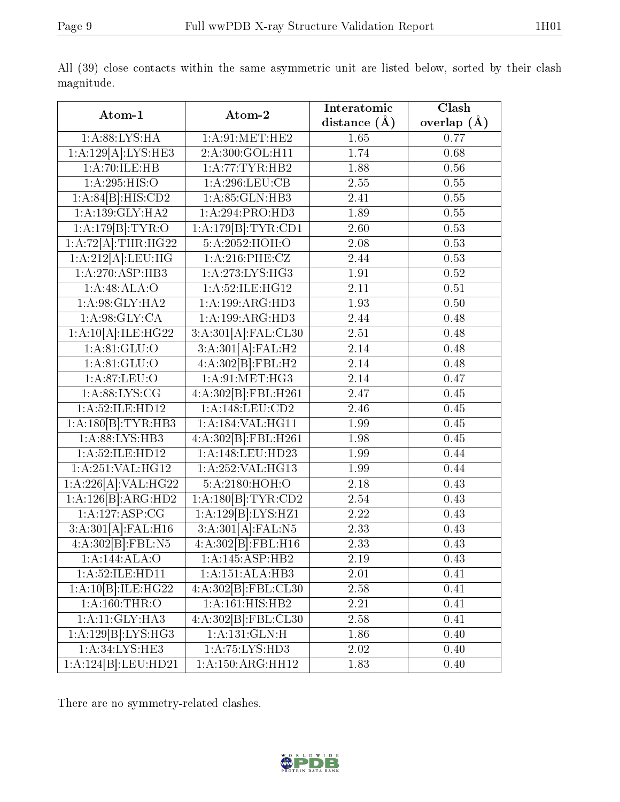| Atom-1                 | Atom-2                         | Interatomic<br>distance $(A)$ | $\overline{\text{Clash}}$<br>overlap $(\AA)$ |
|------------------------|--------------------------------|-------------------------------|----------------------------------------------|
| 1: A:88: LYS: HA       | 1: A:91:MET:HE2                | 1.65                          | 0.77                                         |
| 1:A:129[A]:LYS:HE3     | 2:A:300:GOL:H11                | 1.74                          | 0.68                                         |
| 1:A:70:ILE:HB          | 1:A:77:TYR:HB2                 | 1.88                          | 0.56                                         |
| 1: A:295: HIS:O        | 1:A:296:LEU:CB                 | 2.55                          | $0.55\,$                                     |
| 1:A:84[B]:HIS:CD2      | 1:A:85:GLN:HB3                 | 2.41                          | 0.55                                         |
| 1: A: 139: GLY: HA2    | 1:A:294:PRO:HD3                | 1.89                          | 0.55                                         |
| 1:A:179[B]:TYR:O       | 1:A:179[B]:TYR:CD1             | 2.60                          | 0.53                                         |
| 1:A:72[A]:THR:HG22     | 5:A:2052:HOH:O                 | 2.08                          | 0.53                                         |
| 1:A:212[A]:LEU:HG      | 1:A:216:PHE:CZ                 | 2.44                          | 0.53                                         |
| 1:A:270:ASP:HB3        | 1:A:273:LYS:HG3                | 1.91                          | 0.52                                         |
| 1:A:48:ALA:O           | 1:A:52:ILE:HG12                | 2.11                          | 0.51                                         |
| 1: A:98: GLY: HA2      | 1:A:199:ARG:HD3                | 1.93                          | 0.50                                         |
| 1: A:98: GLY:CA        | 1:A:199:ARG:HD3                | 2.44                          | 0.48                                         |
| $1:A:10[A].\nILE:HG22$ | 3:A:301[A]:FAL:CL30            | 2.51                          | 0.48                                         |
| 1: A:81: GLU:O         | 3:A:301[A]:FAL:H2              | 2.14                          | 0.48                                         |
| 1: A:81: GLU:O         | 4:A:302[B]:FBL:H2              | 2.14                          | 0.48                                         |
| 1: A.87: LEU:O         | 1: A:91: MET:HG3               | 2.14                          | 0.47                                         |
| 1: A:88: LYS: CG       | 4:A:302[B]:FBL:H261            | 2.47                          | 0.45                                         |
| 1:A:52:ILE:HD12        | 1: A:148: LEU: CD2             | 2.46                          | 0.45                                         |
| 1:A:180[B]:TYR:HB3     | 1:A:184:VAL:HG11               | 1.99                          | 0.45                                         |
| 1: A:88:LYS:HB3        | 4:A:302[B]:FBL:H261            | 1.98                          | 0.45                                         |
| 1:A:52:ILE:HD12        | 1:A:148:LEU:HD23               | 1.99                          | 0.44                                         |
| 1:A:251:VAL:HG12       | 1:A:252:VAL:HG13               | 1.99                          | 0.44                                         |
| 1:A:226[A]:VAL:H G22   | 5:A:2180:HOH:O                 | 2.18                          | 0.43                                         |
| 1:A:126[B]:ARG:HD2     | 1:A:180[B]:TYR:CD2             | 2.54                          | 0.43                                         |
| 1:A:127:ASP:CG         | 1:A:129[B]:LYS:HZ1             | $2.22\,$                      | 0.43                                         |
| 3:A:301[A]:FAL:H16     | $3:A:301\overline{A}$ : FAL:N5 | 2.33                          | 0.43                                         |
| 4:A:302[B]:FBL:N5      | 4:A:302[B]:FBL:H16             | 2.33                          | 0.43                                         |
| 1:A:144:ALA:O          | 1:A:145:ASP:HB2                | 2.19                          | 0.43                                         |
| 1:A:52:ILE:HD11        | 1:A:151:ALA:HB3                | 2.01                          | 0.41                                         |
| 1:A:10[B]:ILE:HG22     | 4:A:302[B]:FBL:CL30            | 2.58                          | 0.41                                         |
| 1: A:160:THR:O         | 1:A:161:HIS:HB2                | 2.21                          | 0.41                                         |
| 1:A:11:GLY:HA3         | 4:A:302[B]:FBL:CL30            | 2.58                          | 0.41                                         |
| 1:A:129[B]:LYS:HG3     | 1:A:131:GLN:H                  | 1.86                          | 0.40                                         |
| 1: A:34: LYS: HE3      | 1:A:75:LYS:HD3                 | 2.02                          | 0.40                                         |
| 1:A:124[B]:LEU:HD21    | 1:A:150:ARG:HH12               | 1.83                          | 0.40                                         |

All (39) close contacts within the same asymmetric unit are listed below, sorted by their clash magnitude.

There are no symmetry-related clashes.

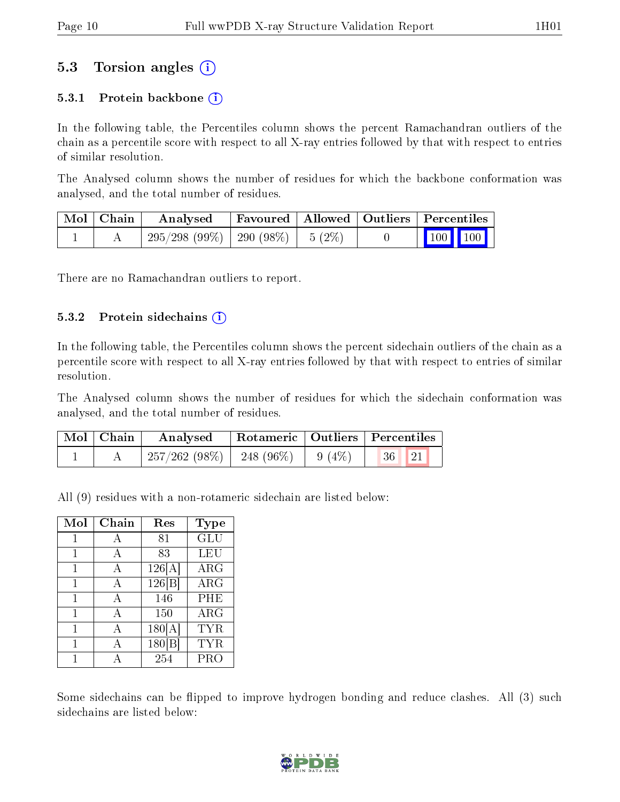### 5.3 Torsion angles (i)

#### 5.3.1 Protein backbone  $(i)$

In the following table, the Percentiles column shows the percent Ramachandran outliers of the chain as a percentile score with respect to all X-ray entries followed by that with respect to entries of similar resolution.

The Analysed column shows the number of residues for which the backbone conformation was analysed, and the total number of residues.

| Mol   Chain | Analysed                                | Favoured   Allowed   Outliers   Percentiles |  |                                                              |  |
|-------------|-----------------------------------------|---------------------------------------------|--|--------------------------------------------------------------|--|
|             | $295/298$ (99\%)   290 (98\%)   5 (2\%) |                                             |  | $\begin{array}{ c c c c c }\n\hline\n100 & 100\n\end{array}$ |  |

There are no Ramachandran outliers to report.

#### $5.3.2$  Protein sidechains  $(i)$

In the following table, the Percentiles column shows the percent sidechain outliers of the chain as a percentile score with respect to all X-ray entries followed by that with respect to entries of similar resolution.

The Analysed column shows the number of residues for which the sidechain conformation was analysed, and the total number of residues.

| Mol   Chain | Analysed                                |  | Rotameric   Outliers   Percentiles |  |
|-------------|-----------------------------------------|--|------------------------------------|--|
|             | $257/262$ (98\%)   248 (96\%)   9 (4\%) |  |                                    |  |

All (9) residues with a non-rotameric sidechain are listed below:

| Mol | Chain | Res    | <b>Type</b> |
|-----|-------|--------|-------------|
|     | А     | 81     | <b>GLU</b>  |
| 1   | A     | 83     | LEU         |
|     | А     | 126[A] | $\rm{ARG}$  |
|     | А     | 126 B  | $\rm{ARG}$  |
| 1   | A     | 146    | PHE         |
| 1   | A     | 150    | $\rm{ARG}$  |
| 1   | А     | 180[A] | <b>TYR</b>  |
|     |       | 180[   | TYR         |
|     |       | 254    | PRO         |

Some sidechains can be flipped to improve hydrogen bonding and reduce clashes. All (3) such sidechains are listed below:

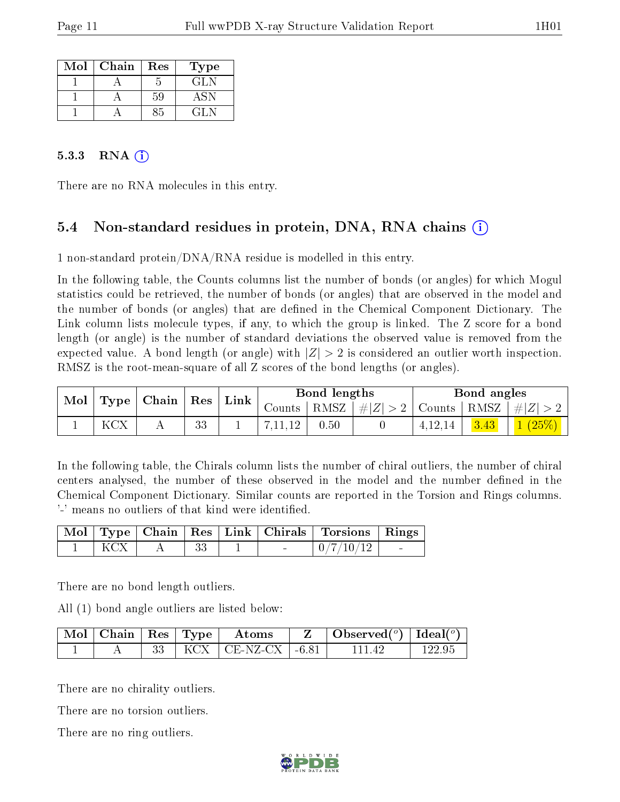| Mol | Chain | Res | Type            |
|-----|-------|-----|-----------------|
|     |       |     | GLN             |
|     |       | 59  | $\Delta$ $\sim$ |
|     |       | くら  | CH N            |

#### 5.3.3 RNA  $(i)$

There are no RNA molecules in this entry.

### 5.4 Non-standard residues in protein, DNA, RNA chains (i)

1 non-standard protein/DNA/RNA residue is modelled in this entry.

In the following table, the Counts columns list the number of bonds (or angles) for which Mogul statistics could be retrieved, the number of bonds (or angles) that are observed in the model and the number of bonds (or angles) that are defined in the Chemical Component Dictionary. The Link column lists molecule types, if any, to which the group is linked. The Z score for a bond length (or angle) is the number of standard deviations the observed value is removed from the expected value. A bond length (or angle) with  $|Z| > 2$  is considered an outlier worth inspection. RMSZ is the root-mean-square of all Z scores of the bond lengths (or angles).

| Mol | <b>Type</b> | $\overline{\phantom{a}}$ Chain $\overline{\phantom{a}}$ | Res | Link | Bond lengths |      |         | Bond angles                                 |      |        |
|-----|-------------|---------------------------------------------------------|-----|------|--------------|------|---------|---------------------------------------------|------|--------|
|     |             |                                                         |     |      | Counts       | RMSZ | #Z  > 2 | $\vert$ Counts $\vert$ RMSZ $\vert \neq$  Z |      |        |
|     | <b>KCX</b>  |                                                         | 33  |      |              | 0.50 |         | 4.12.14                                     | 3.43 | 1(25%) |

In the following table, the Chirals column lists the number of chiral outliers, the number of chiral centers analysed, the number of these observed in the model and the number defined in the Chemical Component Dictionary. Similar counts are reported in the Torsion and Rings columns. '-' means no outliers of that kind were identified.

|  |  |  | Mol   Type   Chain   Res   Link   Chirals   Torsions   Rings |  |
|--|--|--|--------------------------------------------------------------|--|
|  |  |  | 0/7/10/12                                                    |  |

There are no bond length outliers.

All (1) bond angle outliers are listed below:

| $\mid$ Mol $\mid$ Chain $\mid$ Res $\mid$ Type $\mid$ |  | Atoms                           | $\vert$ Observed $(^\circ)$ $\vert$ Ideal $(^\circ)$ |        |
|-------------------------------------------------------|--|---------------------------------|------------------------------------------------------|--------|
|                                                       |  | $\text{KCX}$   CE-NZ-CX   -6.81 | 111 42                                               | 122 ዓ5 |

There are no chirality outliers.

There are no torsion outliers.

There are no ring outliers.

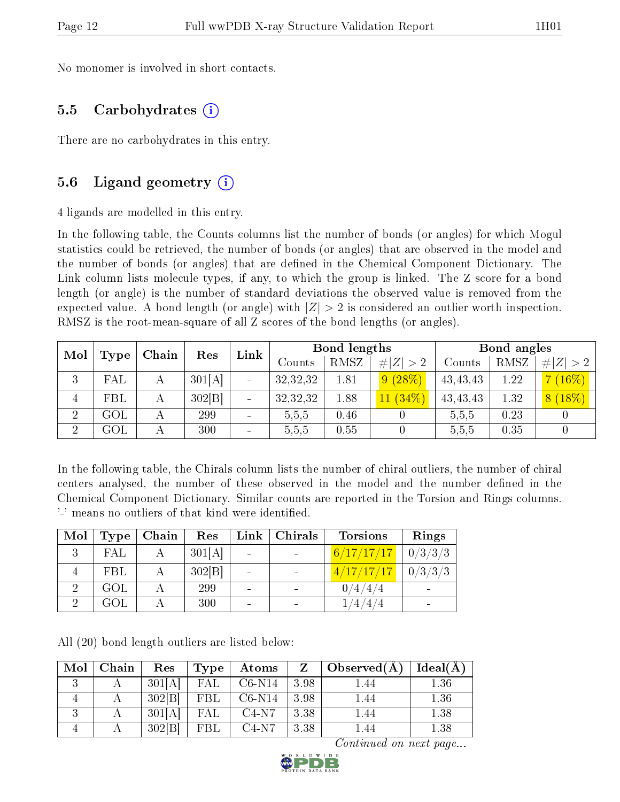No monomer is involved in short contacts.

#### 5.5 Carbohydrates (i)

There are no carbohydrates in this entry.

#### 5.6 Ligand geometry (i)

4 ligands are modelled in this entry.

In the following table, the Counts columns list the number of bonds (or angles) for which Mogul statistics could be retrieved, the number of bonds (or angles) that are observed in the model and the number of bonds (or angles) that are dened in the Chemical Component Dictionary. The Link column lists molecule types, if any, to which the group is linked. The Z score for a bond length (or angle) is the number of standard deviations the observed value is removed from the expected value. A bond length (or angle) with  $|Z| > 2$  is considered an outlier worth inspection. RMSZ is the root-mean-square of all Z scores of the bond lengths (or angles).

| Mol            |                | Chain | Res    | Link                         |          | Bond lengths |             | Bond angles |      |             |  |
|----------------|----------------|-------|--------|------------------------------|----------|--------------|-------------|-------------|------|-------------|--|
|                | Type           |       |        |                              | Counts   | RMSZ         | # $ Z  > 2$ | Counts      | RMSZ | # $ Z  > 2$ |  |
| 3              | ${\rm FAL}$    |       | 301[A] |                              | 32,32,32 | 1.81         | 9(28%)      | 43, 43, 43  | 1.22 | $(16\%)$    |  |
|                | FBL            | А     | 302 B  |                              | 32,32,32 | 1.88         | $11(34\%)$  | 43, 43, 43  | 1.32 | $8(18\%)$   |  |
| $\overline{2}$ | GOL            |       | 299    | $\qquad \qquad \blacksquare$ | 5,5,5    | 0.46         |             | 5,5,5       | 0.23 |             |  |
| ച              | $\mathrm{GOL}$ |       | 300    | $\overline{\phantom{0}}$     | 5,5,5    | 0.55         |             | 5,5,5       | 0.35 |             |  |

In the following table, the Chirals column lists the number of chiral outliers, the number of chiral centers analysed, the number of these observed in the model and the number defined in the Chemical Component Dictionary. Similar counts are reported in the Torsion and Rings columns. '-' means no outliers of that kind were identified.

| Mol | <b>Type</b> | Chain | Res    | $Link \,  $ | $\perp$ Chirals              | <b>Torsions</b>   | Rings   |
|-----|-------------|-------|--------|-------------|------------------------------|-------------------|---------|
| २   | FAL         |       | 301[A] |             | $\blacksquare$               | 6/17/17/17        | 0/3/3/3 |
|     | <b>FBL</b>  |       | 302 B  |             | $\overline{\phantom{a}}$     | 4/17/17/17        | 0/3/3/3 |
|     | <b>GOL</b>  |       | 299    |             | $\overline{\phantom{0}}$     | 0/4/4/4           |         |
|     | GOL         |       | 300    |             | $\qquad \qquad \blacksquare$ | $^{\prime}4\,4$ / |         |

All (20) bond length outliers are listed below:

| Mol      | Chain | Res    | Type | Atoms    | Z    | Observed $(A)$ | Ideal(A) |
|----------|-------|--------|------|----------|------|----------------|----------|
| $\Omega$ |       | 301[A] | FAL  | $C6-N14$ | 3.98 | 1.44           | 1.36     |
|          |       | 302 B  | FBL  | $C6-N14$ | 3.98 | 1.44           | 1.36     |
|          |       | 301[A] | FAL  | $C4-N7$  | 3.38 | I .44          | 1.38     |
|          |       | 302 B  | FBL  | $C4-N7$  | 3.38 |                | $1.38\,$ |

Continued on next page...

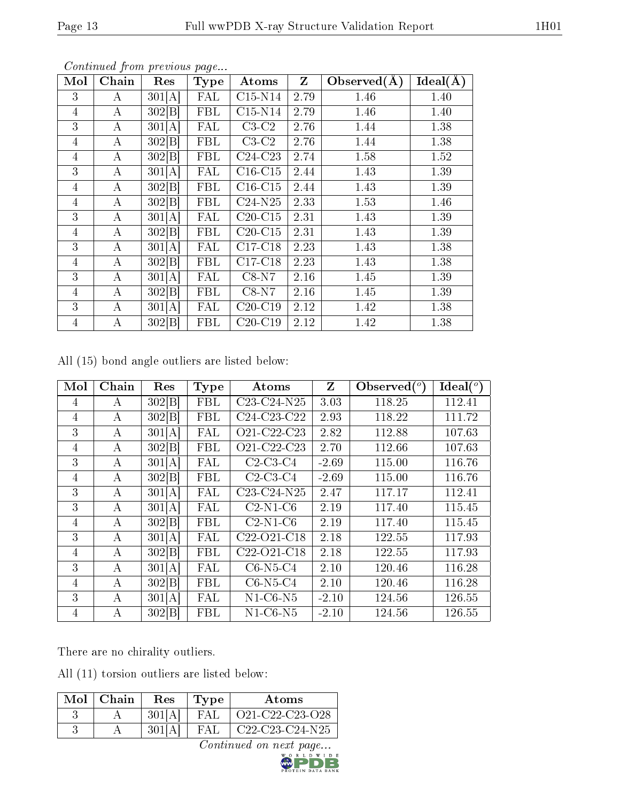| Mol            | Chain        | Res    | Type                    | Atoms                        | $\mathbf{Z}$ | Observed(A) | $Ideal(\AA)$ |
|----------------|--------------|--------|-------------------------|------------------------------|--------------|-------------|--------------|
| 3              | $\mathbf{A}$ | 301[A] | $\overline{\text{FAL}}$ | $C15-N14$                    | 2.79         | 1.46        | 1.40         |
| $\overline{4}$ | $\mathbf{A}$ | 302 B  | FBL                     | $C15-N14$                    | 2.79         | 1.46        | 1.40         |
| 3              | A            | 301[A] | <b>FAL</b>              | $C3-C2$                      | 2.76         | 1.44        | 1.38         |
| $\overline{4}$ | A            | 302 B  | FBL                     | $C3-C2$                      | 2.76         | 1.44        | 1.38         |
| 4              | $\mathbf{A}$ | 302[B] | FBL                     | $C24-C23$                    | 2.74         | 1.58        | 1.52         |
| 3              | A            | 301[A] | <b>FAL</b>              | $\overline{\text{C}}$ 16-C15 | 2.44         | 1.43        | 1.39         |
| $\overline{4}$ | $\mathbf{A}$ | 302 B  | FBL                     | $C16-C15$                    | 2.44         | 1.43        | 1.39         |
| 4              | $\bf{A}$     | 302 B  | FBL                     | $C24-N25$                    | 2.33         | 1.53        | 1.46         |
| 3              | A            | 301[A] | <b>FAL</b>              | $C20-C15$                    | 2.31         | 1.43        | 1.39         |
| $\overline{4}$ | A            | 302[B] | <b>FBL</b>              | $C20-C15$                    | 2.31         | 1.43        | 1.39         |
| 3              | $\bf{A}$     | 301[A] | FAL                     | $\overline{\text{C17-C18}}$  | 2.23         | 1.43        | 1.38         |
| 4              | A            | 302 B  | <b>FBL</b>              | $C17-C18$                    | 2.23         | 1.43        | 1.38         |
| 3              | A            | 301[A] | <b>FAL</b>              | $C8-N7$                      | 2.16         | 1.45        | 1.39         |
| 4              | $\bf{A}$     | 302 B  | FBL                     | $C8-N7$                      | 2.16         | 1.45        | 1.39         |
| 3              | $\bf{A}$     | 301[A] | <b>FAL</b>              | $\overline{C}20$ -C19        | 2.12         | 1.42        | 1.38         |
| $\overline{4}$ | $\rm A$      | 302 B  | FBL                     | $C20-C19$                    | 2.12         | 1.42        | 1.38         |

Continued from previous page...

All (15) bond angle outliers are listed below:

| Mol | Chain | Res    | <b>Type</b> | Atoms                                             | Z       | Observed $(°)$ | Ideal $(^\circ)$ |
|-----|-------|--------|-------------|---------------------------------------------------|---------|----------------|------------------|
| 4   | А     | 302[B] | FBL         | $C23-C24-N25$                                     | 3.03    | 118.25         | 112.41           |
| 4   | А     | 302[B] | FBL         | C <sub>24</sub> -C <sub>23</sub> -C <sub>22</sub> | 2.93    | 118.22         | 111.72           |
| 3   | A     | 301[A] | FAL         | O21-C22-C23                                       | 2.82    | 112.88         | 107.63           |
| 4   | А     | 302[B] | FBL         | O21-C22-C23                                       | 2.70    | 112.66         | 107.63           |
| 3   | А     | 301[A] | FAL         | $C2-C3-C4$                                        | $-2.69$ | 115.00         | 116.76           |
| 4   | А     | 302[B] | FBL         | $C2-C3-C4$                                        | $-2.69$ | 115.00         | 116.76           |
| 3   | А     | 301 A  | FAL         | $C23-C24-N25$                                     | 2.47    | 117.17         | 112.41           |
| 3   | A     | 301[A] | FAL         | $C2-N1-C6$                                        | 2.19    | 117.40         | 115.45           |
| 4   | А     | 302[B] | FBL         | $C2-N1-C6$                                        | 2.19    | 117.40         | 115.45           |
| 3   | А     | 301[A] | FAL         | $C22-O21-C18$                                     | 2.18    | 122.55         | 117.93           |
| 4   | А     | 302 B  | FBL         | C <sub>22</sub> -O <sub>21</sub> -C <sub>18</sub> | 2.18    | 122.55         | 117.93           |
| 3   | А     | 301[A] | FAL         | $C6-N5-C4$                                        | 2.10    | 120.46         | 116.28           |
| 4   | А     | 302[B] | <b>FBL</b>  | $C6-N5-C4$                                        | 2.10    | 120.46         | 116.28           |
| 3   | A     | 301 A  | FAL         | $N1-C6-N5$                                        | $-2.10$ | 124.56         | 126.55           |
| 4   | А     | 302[B] | FBL         | $N1-C6-N5$                                        | $-2.10$ | 124.56         | 126.55           |

There are no chirality outliers.

All (11) torsion outliers are listed below:

| $Mol$   Chain | Res    | Type | Atoms             |
|---------------|--------|------|-------------------|
|               | 301[A] | FAI  | O21-C22-C23-O28   |
|               |        | FAL. | $C22-C23-C24-N25$ |

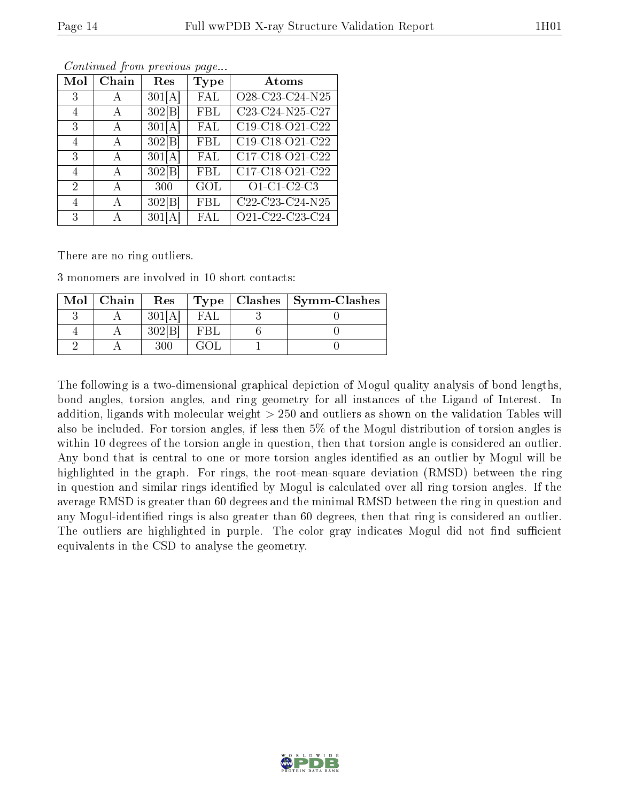| Mol            | Chain | Res    | Type       | <b>Atoms</b>                                      |
|----------------|-------|--------|------------|---------------------------------------------------|
| 3              | А     | 301[A] | FAL        | O28-C23-C24-N25                                   |
| 4              | А     | 302 B  | <b>FBL</b> | C23-C24-N25-C27                                   |
| 3              | A     | 301[A] | <b>FAL</b> | C19-C18-O21-C22                                   |
| 4              | Α     | 302 B  | FBL        | C19-C18-O21-C22                                   |
| 3              | А     | 301[A] | <b>FAL</b> | C17-C18-O21-C22                                   |
| 4              | А     | 302 B  | FBL        | C17-C18-O21-C22                                   |
| $\overline{2}$ | A     | 300    | GOL        | O1-C1-C2-C3                                       |
| 4              | А     | 302[B] | FBL        | $\overline{\text{C22-}\text{C23-}\text{C24-N25}}$ |
| 3              |       | 301    | <b>FAL</b> | O21-C22-C23-C24                                   |

Continued from previous page...

There are no ring outliers.

3 monomers are involved in 10 short contacts:

| $Mol$   Chain | Res                |     | $Type   Classhes   Symm-Classes$ |
|---------------|--------------------|-----|----------------------------------|
|               | 301[A]             | FAL |                                  |
|               | $302$ <sup>B</sup> | FBL |                                  |
|               |                    |     |                                  |

The following is a two-dimensional graphical depiction of Mogul quality analysis of bond lengths, bond angles, torsion angles, and ring geometry for all instances of the Ligand of Interest. In addition, ligands with molecular weight > 250 and outliers as shown on the validation Tables will also be included. For torsion angles, if less then 5% of the Mogul distribution of torsion angles is within 10 degrees of the torsion angle in question, then that torsion angle is considered an outlier. Any bond that is central to one or more torsion angles identified as an outlier by Mogul will be highlighted in the graph. For rings, the root-mean-square deviation (RMSD) between the ring in question and similar rings identified by Mogul is calculated over all ring torsion angles. If the average RMSD is greater than 60 degrees and the minimal RMSD between the ring in question and any Mogul-identified rings is also greater than 60 degrees, then that ring is considered an outlier. The outliers are highlighted in purple. The color gray indicates Mogul did not find sufficient equivalents in the CSD to analyse the geometry.

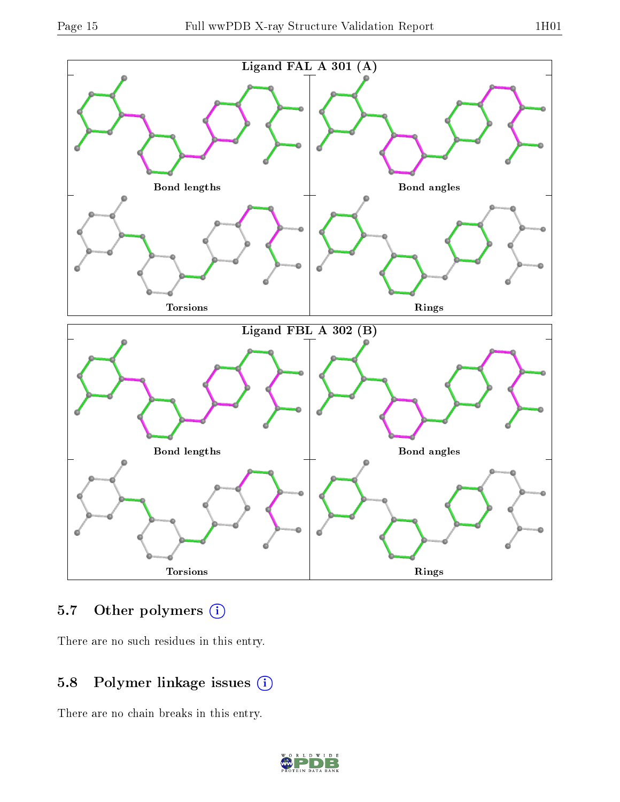

### 5.7 [O](https://www.wwpdb.org/validation/2017/XrayValidationReportHelp#nonstandard_residues_and_ligands)ther polymers (i)

There are no such residues in this entry.

### 5.8 Polymer linkage issues (i)

There are no chain breaks in this entry.

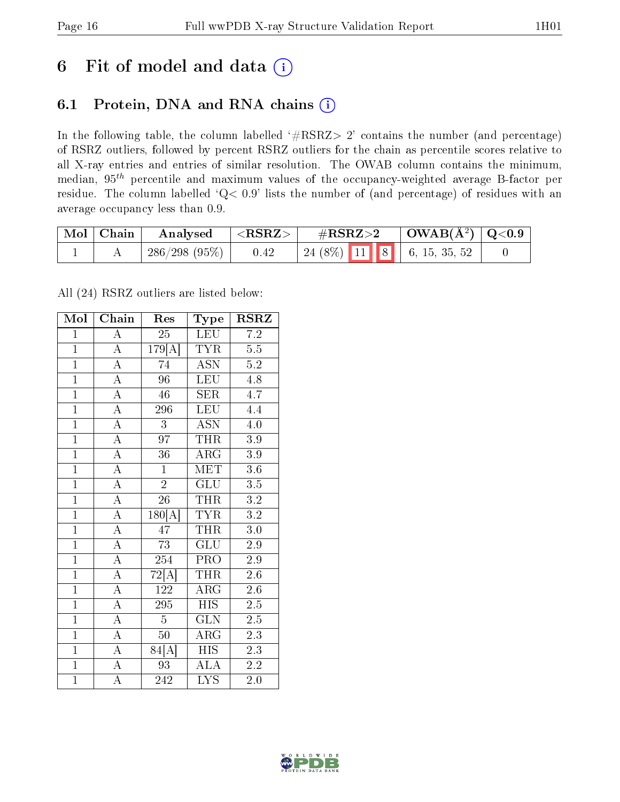## 6 Fit of model and data  $(i)$

### 6.1 Protein, DNA and RNA chains  $(i)$

In the following table, the column labelled  $#RSRZ> 2'$  contains the number (and percentage) of RSRZ outliers, followed by percent RSRZ outliers for the chain as percentile scores relative to all X-ray entries and entries of similar resolution. The OWAB column contains the minimum, median,  $95<sup>th</sup>$  percentile and maximum values of the occupancy-weighted average B-factor per residue. The column labelled ' $Q< 0.9$ ' lists the number of (and percentage) of residues with an average occupancy less than 0.9.

| $\vert$ Mol $\vert$ Chain | Analysed     | $<$ RSRZ $>$ | $\#\text{RSRZ}\text{>2}$          |  | $\vert$ OWAB(Å <sup>2</sup> ) $\vert$ Q<0.9 |  |
|---------------------------|--------------|--------------|-----------------------------------|--|---------------------------------------------|--|
|                           | 286/298(95%) | 0.42         | $\mid$ 24 (8%) 11 8 6, 15, 35, 52 |  |                                             |  |

All (24) RSRZ outliers are listed below:

| Mol            | Chain              | Res                | Type                      | <b>RSRZ</b>      |
|----------------|--------------------|--------------------|---------------------------|------------------|
| $\overline{1}$ | $\overline{\rm A}$ | $\overline{25}$    | LEU                       | 7.2              |
| $\overline{1}$ | $\overline{A}$     | 179[A]             | <b>TYR</b>                | 5.5              |
| $\overline{1}$ | $\overline{A}$     | 74                 | $\overline{\mathrm{ASN}}$ | $5.2\,$          |
| $\overline{1}$ | $\overline{\rm A}$ | $\overline{96}$    | <b>LEU</b>                | $\overline{4.8}$ |
| $\overline{1}$ | $\overline{\rm A}$ | $\overline{46}$    | $\overline{\text{SER}}$   | $\overline{4.7}$ |
| $\overline{1}$ | $\overline{A}$     | 296                | <b>LEU</b>                | 4.4              |
| $\overline{1}$ | $\overline{\rm A}$ | 3                  | <b>ASN</b>                | 4.0              |
| $\overline{1}$ | $\overline{\rm A}$ | $\overline{97}$    | <b>THR</b>                | 3.9              |
| $\overline{1}$ | $\overline{A}$     | 36                 | $\rm{ARG}$                | 3.9              |
| $\overline{1}$ | $\overline{\rm A}$ | $\mathbf{1}$       | MET                       | 3.6              |
| $\mathbf{1}$   | $\overline{A}$     | $\overline{2}$     | GLU                       | 3.5              |
| $\overline{1}$ | $\overline{\rm A}$ | $\overline{26}$    | <b>THR</b>                | $\overline{3.2}$ |
| $\overline{1}$ | $\overline{\rm A}$ | 180[A              | <b>TYR</b>                | 3.2              |
| $\overline{1}$ | $\overline{A}$     | 47                 | <b>THR</b>                | 3.0              |
| $\overline{1}$ | $\overline{\rm A}$ | $\overline{73}$    | <b>GLU</b>                | 2.9              |
| $\overline{1}$ | $\overline{\rm A}$ | 254                | PRO                       | 2.9              |
| $\overline{1}$ | $\overline{\rm A}$ | $\overline{72[A]}$ | <b>THR</b>                | $\overline{2.6}$ |
| $\overline{1}$ | $\overline{\rm A}$ | 122                | $\rm{ARG}$                | 2.6              |
| $\overline{1}$ | $\overline{\rm A}$ | 295                | <b>HIS</b>                | 2.5              |
| $\overline{1}$ | $\overline{A}$     | $\overline{5}$     | $\overline{{\rm GLN}}$    | 2.5              |
| $\overline{1}$ | $\overline{\rm A}$ | $50\,$             | ARG                       | 2.3              |
| $\overline{1}$ | $\overline{\rm A}$ | 84[A]              | $\overline{\mathrm{HIS}}$ | 2.3              |
| $\overline{1}$ | $\overline{\rm A}$ | $\overline{93}$    | <b>ALA</b>                | $2.2\,$          |
| $\overline{1}$ | $\overline{\rm A}$ | 242                | $\overline{\mathrm{LYS}}$ | 2.0              |

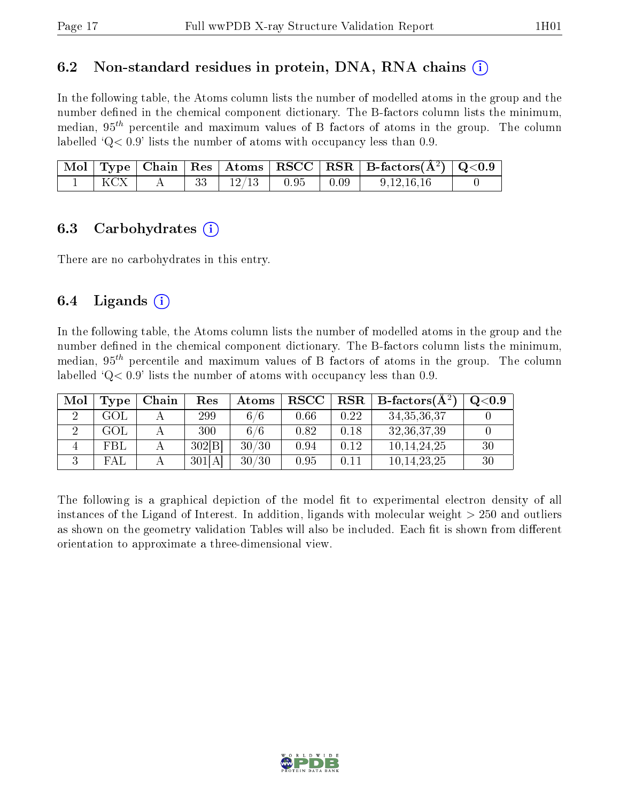#### 6.2 Non-standard residues in protein, DNA, RNA chains  $(i)$

In the following table, the Atoms column lists the number of modelled atoms in the group and the number defined in the chemical component dictionary. The B-factors column lists the minimum, median,  $95<sup>th</sup>$  percentile and maximum values of B factors of atoms in the group. The column labelled  $Q < 0.9$ ' lists the number of atoms with occupancy less than 0.9.

|  |  |              |                                                      | Mol   Type   Chain   Res   Atoms   RSCC   RSR   B-factors $(A^2)$   Q<0.9 |  |
|--|--|--------------|------------------------------------------------------|---------------------------------------------------------------------------|--|
|  |  | $12/13$ 0.95 | $\begin{array}{c} \begin{array}{c} \end{array}$ 0.09 | 9, 12, 16, 16                                                             |  |

#### 6.3 Carbohydrates  $(i)$

There are no carbohydrates in this entry.

#### 6.4 Ligands  $(i)$

In the following table, the Atoms column lists the number of modelled atoms in the group and the number defined in the chemical component dictionary. The B-factors column lists the minimum, median,  $95<sup>th</sup>$  percentile and maximum values of B factors of atoms in the group. The column labelled  $Q< 0.9$ ' lists the number of atoms with occupancy less than 0.9.

| Mol | Type | Chain | $\operatorname{Res}% \left( \mathcal{N}\right) \equiv\operatorname{Res}(\mathcal{N}_{0},\mathcal{N}_{0})$ | Atoms | <b>RSCC</b> | $_{\rm RSR}$ | $B\text{-factors}(\AA^2)$ | $\mathrm{Q}{<}0.9$ |
|-----|------|-------|-----------------------------------------------------------------------------------------------------------|-------|-------------|--------------|---------------------------|--------------------|
|     | GOL  |       | 299                                                                                                       | 6/6   | 0.66        | 0.22         | 34, 35, 36, 37            |                    |
|     | GOL  |       | 300                                                                                                       | 6/6   | 0.82        | $\rm 0.18$   | 32, 36, 37, 39            |                    |
|     | FBL  |       | 302[B]                                                                                                    | 30/30 | 0.94        | $\rm 0.12$   | 10, 14, 24, 25            | 30                 |
|     | FAL  |       | 301[A]                                                                                                    | 30/30 | 0.95        |              | 10, 14, 23, 25            | 30                 |

The following is a graphical depiction of the model fit to experimental electron density of all instances of the Ligand of Interest. In addition, ligands with molecular weight  $> 250$  and outliers as shown on the geometry validation Tables will also be included. Each fit is shown from different orientation to approximate a three-dimensional view.

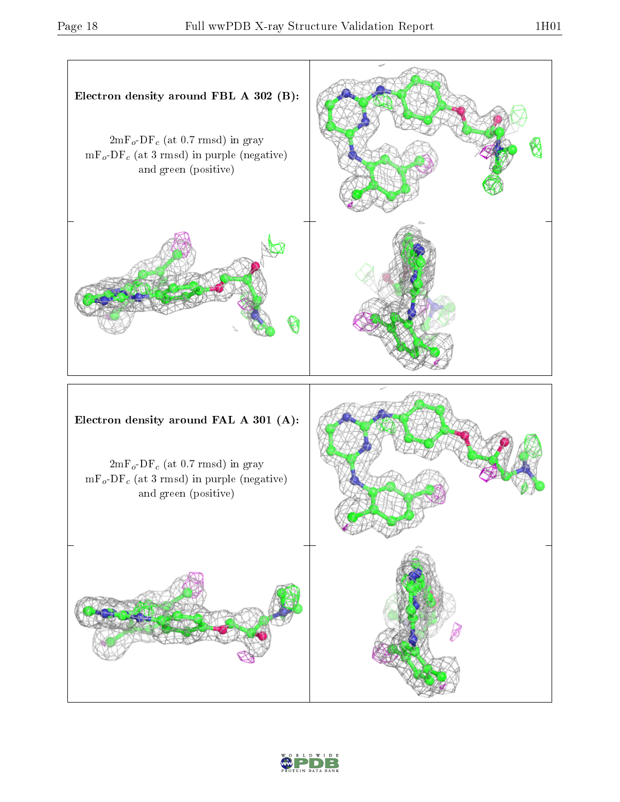